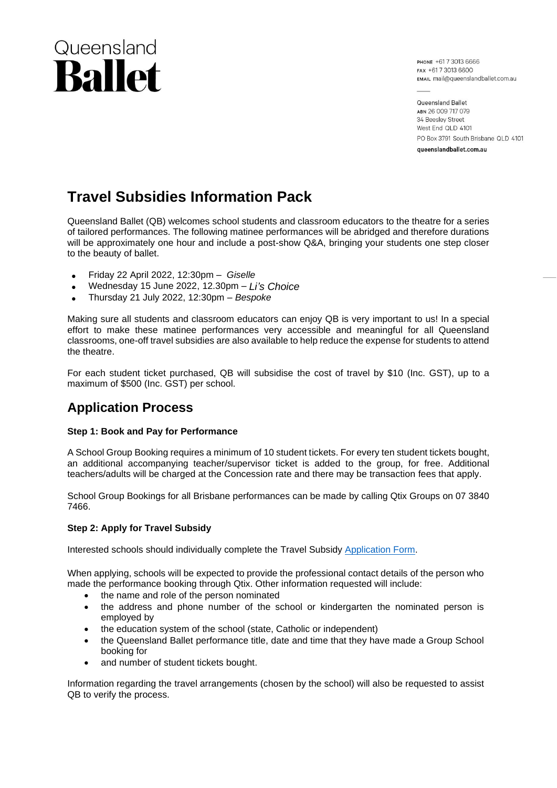# Queensland **Ballet**

PHONE +617 3013 6666 EAX +61 7 3013 6600 EMAIL mail@queenslandballet.com.au

Queensland Ballet ABN 26 009 717 079 34 Beeslev Street West End QLD 4101 PO Box 3791 South Brisbane QLD 4101 queenslandballet.com.au

## **Travel Subsidies Information Pack**

Queensland Ballet (QB) welcomes school students and classroom educators to the theatre for a series of tailored performances. The following matinee performances will be abridged and therefore durations will be approximately one hour and include a post-show Q&A, bringing your students one step closer to the beauty of ballet.

- Friday 22 April 2022, 12:30pm *Giselle*
- Wednesday 15 June 2022, 12.30pm *Li's Choice*
- Thursday 21 July 2022, 12:30pm *Bespoke*

Making sure all students and classroom educators can enjoy QB is very important to us! In a special effort to make these matinee performances very accessible and meaningful for all Queensland classrooms, one-off travel subsidies are also available to help reduce the expense for students to attend the theatre.

For each student ticket purchased, QB will subsidise the cost of travel by \$10 (Inc. GST), up to a maximum of \$500 (Inc. GST) per school.

## **Application Process**

#### **Step 1: Book and Pay for Performance**

A School Group Booking requires a minimum of 10 student tickets. For every ten student tickets bought, an additional accompanying teacher/supervisor ticket is added to the group, for free. Additional teachers/adults will be charged at the Concession rate and there may be transaction fees that apply.

School Group Bookings for all Brisbane performances can be made by calling Qtix Groups on 07 3840 7466.

#### **Step 2: Apply for Travel Subsidy**

Interested schools should individually complete the Travel Subsidy [Application Form.](https://www.queenslandballet.com.au/community/school-and-community-matinees/travel-subsidies-for-school-groups)

When applying, schools will be expected to provide the professional contact details of the person who made the performance booking through Qtix. Other information requested will include:

- the name and role of the person nominated
- the address and phone number of the school or kindergarten the nominated person is employed by
- the education system of the school (state, Catholic or independent)
- the Queensland Ballet performance title, date and time that they have made a Group School booking for
- and number of student tickets bought.

Information regarding the travel arrangements (chosen by the school) will also be requested to assist QB to verify the process.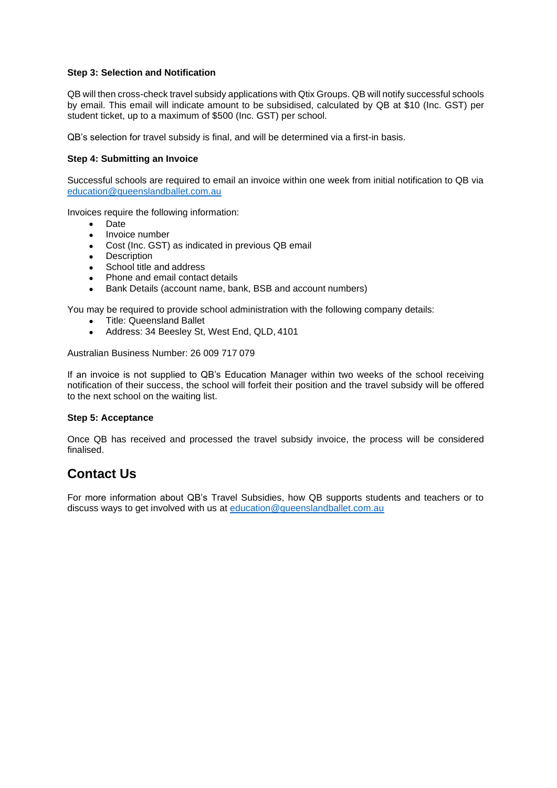#### **Step 3: Selection and Notification**

QB will then cross-check travel subsidy applications with Qtix Groups. QB will notify successful schools by email. This email will indicate amount to be subsidised, calculated by QB at \$10 (Inc. GST) per student ticket, up to a maximum of \$500 (Inc. GST) per school.

QB's selection for travel subsidy is final, and will be determined via a first-in basis.

#### **Step 4: Submitting an Invoice**

Successful schools are required to email an invoice within one week from initial notification to QB via [education@queenslandballet.com.au](mailto:education@queenslandballet.com.au)

Invoices require the following information:

- Date
- Invoice number
- Cost (Inc. GST) as indicated in previous QB email
- Description
- School title and address
- Phone and email contact details
- Bank Details (account name, bank, BSB and account numbers)

You may be required to provide school administration with the following company details:

- Title: Queensland Ballet
- Address: 34 Beesley St, West End, QLD, 4101

Australian Business Number: 26 009 717 079

If an invoice is not supplied to QB's Education Manager within two weeks of the school receiving notification of their success, the school will forfeit their position and the travel subsidy will be offered to the next school on the waiting list.

#### **Step 5: Acceptance**

Once QB has received and processed the travel subsidy invoice, the process will be considered finalised.

## **Contact Us**

For more information about QB's Travel Subsidies, how QB supports students and teachers or to discuss ways to get involved with us at [education@queenslandballet.com.au](mailto:education@queenslandballet.com.au)